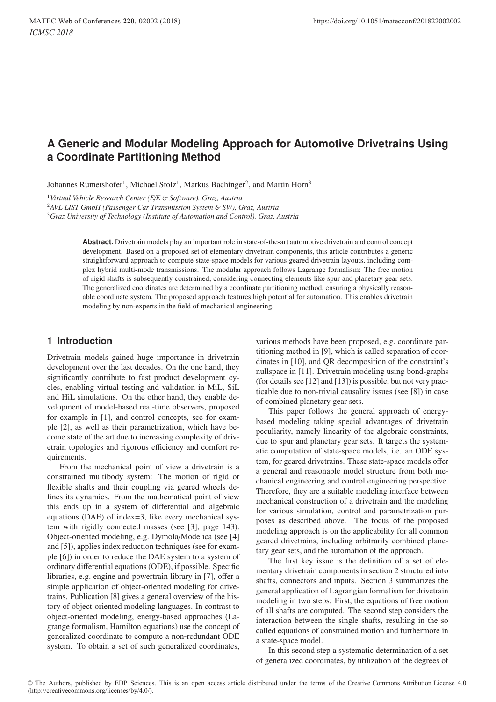# **A Generic and Modular Modeling Approach for Automotive Drivetrains Using a Coordinate Partitioning Method**

Johannes Rumetshofer<sup>1</sup>, Michael Stolz<sup>1</sup>, Markus Bachinger<sup>2</sup>, and Martin Horn<sup>3</sup>

<sup>1</sup>*Virtual Vehicle Research Center (E*/*E* & *Software), Graz, Austria*

<sup>2</sup>*AVL LIST GmbH (Passenger Car Transmission System* & *SW), Graz, Austria*

<sup>3</sup>*Graz University of Technology (Institute of Automation and Control), Graz, Austria*

**Abstract.** Drivetrain models play an important role in state-of-the-art automotive drivetrain and control concept development. Based on a proposed set of elementary drivetrain components, this article contributes a generic straightforward approach to compute state-space models for various geared drivetrain layouts, including complex hybrid multi-mode transmissions. The modular approach follows Lagrange formalism: The free motion of rigid shafts is subsequently constrained, considering connecting elements like spur and planetary gear sets. The generalized coordinates are determined by a coordinate partitioning method, ensuring a physically reasonable coordinate system. The proposed approach features high potential for automation. This enables drivetrain modeling by non-experts in the field of mechanical engineering.

## **1 Introduction**

Drivetrain models gained huge importance in drivetrain development over the last decades. On the one hand, they significantly contribute to fast product development cycles, enabling virtual testing and validation in MiL, SiL and HiL simulations. On the other hand, they enable development of model-based real-time observers, proposed for example in [1], and control concepts, see for example [2], as well as their parametrization, which have become state of the art due to increasing complexity of drivetrain topologies and rigorous efficiency and comfort requirements.

From the mechanical point of view a drivetrain is a constrained multibody system: The motion of rigid or flexible shafts and their coupling via geared wheels defines its dynamics. From the mathematical point of view this ends up in a system of differential and algebraic equations (DAE) of index=3, like every mechanical system with rigidly connected masses (see [3], page 143). Object-oriented modeling, e.g. Dymola/Modelica (see [4] and [5]), applies index reduction techniques (see for example [6]) in order to reduce the DAE system to a system of ordinary differential equations (ODE), if possible. Specific libraries, e.g. engine and powertrain library in [7], offer a simple application of object-oriented modeling for drivetrains. Publication [8] gives a general overview of the history of object-oriented modeling languages. In contrast to object-oriented modeling, energy-based approaches (Lagrange formalism, Hamilton equations) use the concept of generalized coordinate to compute a non-redundant ODE system. To obtain a set of such generalized coordinates,

various methods have been proposed, e.g. coordinate partitioning method in [9], which is called separation of coordinates in [10], and QR decomposition of the constraint's nullspace in [11]. Drivetrain modeling using bond-graphs (for details see [12] and [13]) is possible, but not very practicable due to non-trivial causality issues (see [8]) in case of combined planetary gear sets.

This paper follows the general approach of energybased modeling taking special advantages of drivetrain peculiarity, namely linearity of the algebraic constraints, due to spur and planetary gear sets. It targets the systematic computation of state-space models, i.e. an ODE system, for geared drivetrains. These state-space models offer a general and reasonable model structure from both mechanical engineering and control engineering perspective. Therefore, they are a suitable modeling interface between mechanical construction of a drivetrain and the modeling for various simulation, control and parametrization purposes as described above. The focus of the proposed modeling approach is on the applicability for all common geared drivetrains, including arbitrarily combined planetary gear sets, and the automation of the approach.

The first key issue is the definition of a set of elementary drivetrain components in section 2 structured into shafts, connectors and inputs. Section 3 summarizes the general application of Lagrangian formalism for drivetrain modeling in two steps: First, the equations of free motion of all shafts are computed. The second step considers the interaction between the single shafts, resulting in the so called equations of constrained motion and furthermore in a state-space model.

In this second step a systematic determination of a set of generalized coordinates, by utilization of the degrees of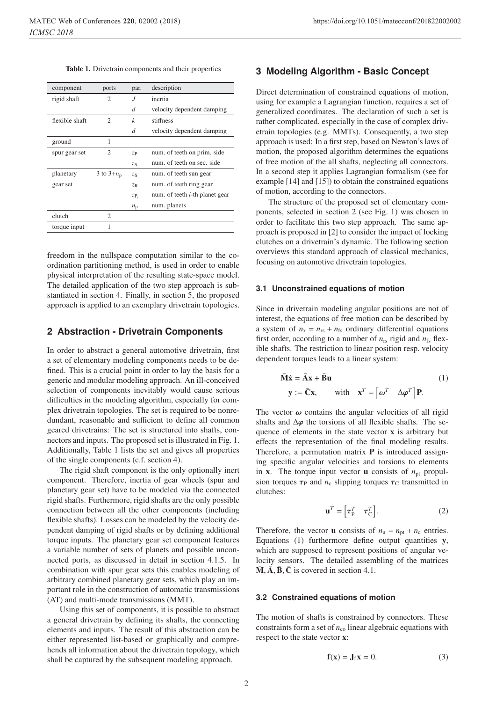Table 1. Drivetrain components and their properties

| component      | ports                       | par.        | description                            |
|----------------|-----------------------------|-------------|----------------------------------------|
| rigid shaft    | $\overline{c}$              | J           | inertia                                |
|                |                             | d           | velocity dependent damping             |
| flexible shaft | $\mathcal{D}_{\mathcal{L}}$ | k           | stiffness                              |
|                |                             | d           | velocity dependent damping             |
| ground         | 1                           |             |                                        |
| spur gear set  | $\mathfrak{D}$              | ZP          | num. of teeth on prim. side            |
|                |                             | $z_{\rm S}$ | num. of teeth on sec. side             |
| planetary      | 3 to $3+n_p$                | ZS          | num. of teeth sun gear                 |
| gear set       |                             | $Z_{R}$     | num. of teeth ring gear                |
|                |                             | $ZP_i$      | num. of teeth <i>i</i> -th planet gear |
|                |                             | $n_{\rm p}$ | num. planets                           |
| clutch         | 2                           |             |                                        |
| torque input   | 1                           |             |                                        |

freedom in the nullspace computation similar to the coordination partitioning method, is used in order to enable physical interpretation of the resulting state-space model. The detailed application of the two step approach is substantiated in section 4. Finally, in section 5, the proposed approach is applied to an exemplary drivetrain topologies.

## **2 Abstraction - Drivetrain Components**

In order to abstract a general automotive drivetrain, first a set of elementary modeling components needs to be defined. This is a crucial point in order to lay the basis for a generic and modular modeling approach. An ill-conceived selection of components inevitably would cause serious difficulties in the modeling algorithm, especially for complex drivetrain topologies. The set is required to be nonredundant, reasonable and sufficient to define all common geared drivetrains: The set is structured into shafts, connectors and inputs. The proposed set is illustrated in Fig. 1. Additionally, Table 1 lists the set and gives all properties of the single components (c.f. section 4).

The rigid shaft component is the only optionally inert component. Therefore, inertia of gear wheels (spur and planetary gear set) have to be modeled via the connected rigid shafts. Furthermore, rigid shafts are the only possible connection between all the other components (including flexible shafts). Losses can be modeled by the velocity dependent damping of rigid shafts or by defining additional torque inputs. The planetary gear set component features a variable number of sets of planets and possible unconnected ports, as discussed in detail in section 4.1.5. In combination with spur gear sets this enables modeling of arbitrary combined planetary gear sets, which play an important role in the construction of automatic transmissions (AT) and multi-mode transmissions (MMT).

Using this set of components, it is possible to abstract a general drivetrain by defining its shafts, the connecting elements and inputs. The result of this abstraction can be either represented list-based or graphically and comprehends all information about the drivetrain topology, which shall be captured by the subsequent modeling approach.

## **3 Modeling Algorithm - Basic Concept**

Direct determination of constrained equations of motion, using for example a Lagrangian function, requires a set of generalized coordinates. The declaration of such a set is rather complicated, especially in the case of complex drivetrain topologies (e.g. MMTs). Consequently, a two step approach is used: In a first step, based on Newton's laws of motion, the proposed algorithm determines the equations of free motion of the all shafts, neglecting all connectors. In a second step it applies Lagrangian formalism (see for example [14] and [15]) to obtain the constrained equations of motion, according to the connectors.

The structure of the proposed set of elementary components, selected in section 2 (see Fig. 1) was chosen in order to facilitate this two step approach. The same approach is proposed in [2] to consider the impact of locking clutches on a drivetrain's dynamic. The following section overviews this standard approach of classical mechanics, focusing on automotive drivetrain topologies.

#### **3.1 Unconstrained equations of motion**

Since in drivetrain modeling angular positions are not of interest, the equations of free motion can be described by a system of  $n_x = n_{rs} + n_{fs}$  ordinary differential equations first order, according to a number of  $n_{rs}$  rigid and  $n_{fs}$  flexible shafts. The restriction to linear position resp. velocity dependent torques leads to a linear system:

$$
\overline{\mathbf{M}}\dot{\mathbf{x}} = \overline{\mathbf{A}}\mathbf{x} + \overline{\mathbf{B}}\mathbf{u}
$$
 (1)  

$$
\mathbf{y} := \overline{\mathbf{C}}\mathbf{x}, \qquad \text{with} \quad \mathbf{x}^T = \begin{bmatrix} \omega^T & \Delta \boldsymbol{\varphi}^T \end{bmatrix} \mathbf{P}.
$$

The vector  $\omega$  contains the angular velocities of all rigid shafts and  $\Delta\varphi$  the torsions of all flexible shafts. The sequence of elements in the state vector x is arbitrary but effects the representation of the final modeling results. Therefore, a permutation matrix  $P$  is introduced assigning specific angular velocities and torsions to elements in **x**. The torque input vector **u** consists of  $n<sub>pt</sub>$  propulsion torques  $\tau_P$  and  $n_c$  slipping torques  $\tau_C$  transmitted in clutches:

$$
\mathbf{u}^T = \begin{bmatrix} \tau_{\rm P}^T & \tau_{\rm C}^T \end{bmatrix} . \tag{2}
$$

Therefore, the vector **u** consists of  $n_u = n_{pt} + n_c$  entries. Equations  $(1)$  furthermore define output quantities y, which are supposed to represent positions of angular velocity sensors. The detailed assembling of the matrices  $\bar{M}$ ,  $\bar{A}$ ,  $\bar{B}$ ,  $\bar{C}$  is covered in section 4.1.

## **3.2 Constrained equations of motion**

The motion of shafts is constrained by connectors. These constraints form a set of  $n_{\rm co}$  linear algebraic equations with respect to the state vector x:

$$
\mathbf{f}(\mathbf{x}) = \mathbf{J}_f \mathbf{x} = 0. \tag{3}
$$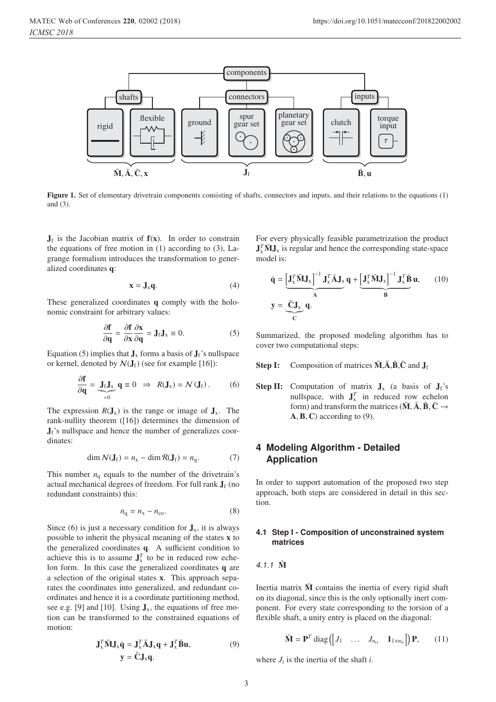

Figure 1. Set of elementary drivetrain components consisting of shafts, connectors and inputs, and their relations to the equations (1) and (3).

 $J_f$  is the Jacobian matrix of  $f(x)$ . In order to constrain the equations of free motion in (1) according to (3), Lagrange formalism introduces the transformation to generalized coordinates q:

$$
\mathbf{x} = \mathbf{J}_x \mathbf{q}.\tag{4}
$$

These generalized coordinates q comply with the holonomic constraint for arbitrary values:

$$
\frac{\partial \mathbf{f}}{\partial \mathbf{q}} = \frac{\partial \mathbf{f}}{\partial \mathbf{x}} \frac{\partial \mathbf{x}}{\partial \mathbf{q}} = \mathbf{J}_{\mathbf{f}} \mathbf{J}_{\mathbf{x}} \equiv 0. \tag{5}
$$

Equation (5) implies that  $J_x$  forms a basis of  $J_f$ 's nullspace or kernel, denoted by  $\mathcal{N}(\mathbf{J}_f)$  (see for example [16]):

$$
\frac{\partial \mathbf{f}}{\partial \mathbf{q}} = \underbrace{\mathbf{J}_f \mathbf{J}_x}_{=0} \mathbf{q} \equiv 0 \implies R(\mathbf{J}_x) = \mathcal{N}(\mathbf{J}_f).
$$
 (6)

The expression  $R(J_x)$  is the range or image of  $J_x$ . The rank-nullity theorem ([16]) determines the dimension of  $J_f$ 's nullspace and hence the number of generalizes coordinates:

$$
\dim \mathcal{N}(\mathbf{J}_{\mathrm{f}}) = n_{\mathrm{x}} - \dim \mathcal{R}(\mathbf{J}_{\mathrm{f}}) = n_{\mathrm{q}}.\tag{7}
$$

This number  $n_q$  equals to the number of the drivetrain's actual mechanical degrees of freedom. For full rank  $J_f$  (no redundant constraints) this:

$$
n_{\rm q} = n_{\rm x} - n_{\rm co}.\tag{8}
$$

Since (6) is just a necessary condition for  $J_x$ , it is always possible to inherit the physical meaning of the states x to the generalized coordinates q. A sufficient condition to achieve this is to assume  $J_x^T$  to be in reduced row eche-<br>lon form. In this case the generalized coordinates **q** are lon form. In this case the generalized coordinates q are a selection of the original states x. This approach separates the coordinates into generalized, and redundant coordinates and hence it is a coordinate partitioning method, see e.g. [9] and [10]. Using  $J_x$ , the equations of free motion can be transformed to the constrained equations of motion:

$$
\mathbf{J}_{x}^{T} \bar{\mathbf{M}} \mathbf{J}_{x} \dot{\mathbf{q}} = \mathbf{J}_{x}^{T} \bar{\mathbf{A}} \mathbf{J}_{x} \mathbf{q} + \mathbf{J}_{x}^{T} \bar{\mathbf{B}} \mathbf{u},
$$
(9)  

$$
\mathbf{y} = \bar{\mathbf{C}} \mathbf{J}_{x} \mathbf{q}.
$$

For every physically feasible parametrization the product  $J_x^T \overline{M} J_x$  is regular and hence the corresponding state-space<br>model is: model is:

$$
\dot{\mathbf{q}} = \underbrace{\begin{bmatrix} \mathbf{J}_x^T \bar{\mathbf{M}} \mathbf{J}_x \end{bmatrix}^{-1} \mathbf{J}_x^T \bar{\mathbf{A}} \mathbf{J}_x}_{\mathbf{A}} \mathbf{q} + \underbrace{\begin{bmatrix} \mathbf{J}_x^T \bar{\mathbf{M}} \mathbf{J}_x \end{bmatrix}^{-1} \mathbf{J}_x^T \bar{\mathbf{B}}}_{\mathbf{B}} \mathbf{u}, \qquad (10)
$$
\n
$$
\mathbf{y} = \underbrace{\bar{\mathbf{C}} \mathbf{J}_x}_{\mathbf{C}} \mathbf{q}.
$$

Summarized, the proposed modeling algorithm has to cover two computational steps:

- **Step I:** Composition of matrices  $\overline{M}$ , $\overline{A}$ , $\overline{B}$ , $\overline{C}$  and  $J_f$
- **Step II:** Computation of matrix  $J_x$  (a basis of  $J_f$ 's nullspace, with  $J_x^T$  in reduced row echelon<br>form) and transform the matrices ( $\bar{M}$   $\bar{A}$   $\bar{R}$   $\bar{C}$   $\rightarrow$ form) and transform the matrices ( $\overline{M}$ ,  $\overline{A}$ ,  $\overline{B}$ ,  $\overline{C}$   $\rightarrow$  $A, B, C$ ) according to (9).

# **4 Modeling Algorithm - Detailed Application**

In order to support automation of the proposed two step approach, both steps are considered in detail in this section.

#### **4.1 Step I - Composition of unconstrained system matrices**

## 4.1.1  $\bar{M}$

Inertia matrix  $\bar{M}$  contains the inertia of every rigid shaft on its diagonal, since this is the only optionally inert component. For every state corresponding to the torsion of a flexible shaft, a unity entry is placed on the diagonal:

$$
\bar{\mathbf{M}} = \mathbf{P}^T \operatorname{diag} \left( \begin{bmatrix} J_1 & \dots & J_{n_{rs}} & \mathbf{1}_{1 \times n_{fs}} \end{bmatrix} \right) \mathbf{P}, \qquad (11)
$$

where  $J_i$  is the inertia of the shaft *i*.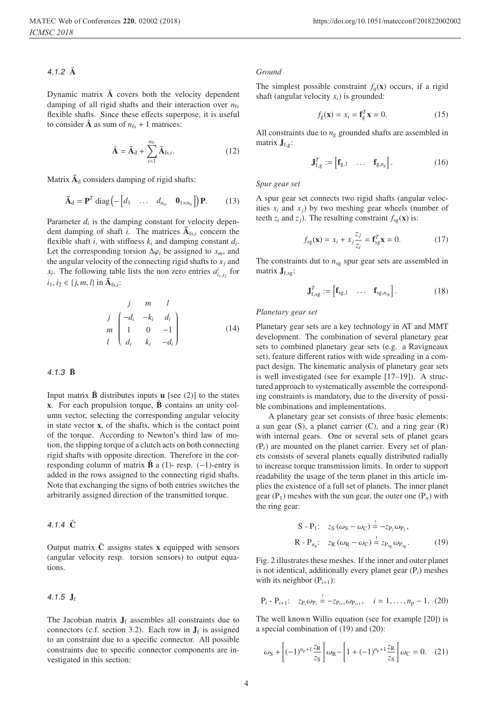#### 4.1.2  $\bar{A}$

Dynamic matrix  $\overline{A}$  covers both the velocity dependent damping of all rigid shafts and their interaction over  $n_{fs}$ flexible shafts. Since these effects superpose, it is useful to consider  $\bar{A}$  as sum of  $n_{fs} + 1$  matrices:

$$
\bar{\mathbf{A}} = \bar{\mathbf{A}}_{\mathrm{d}} + \sum_{i=1}^{n_{\mathrm{fs}}} \bar{\mathbf{A}}_{\mathrm{fs},i}.
$$
 (12)

Matrix  $\bar{A}_d$  considers damping of rigid shafts:

$$
\bar{\mathbf{A}}_{\mathrm{d}} = \mathbf{P}^T \operatorname{diag} \left( - \begin{bmatrix} d_1 & \dots & d_{n_{\mathrm{rs}}} & \mathbf{0}_{1 \times n_{\mathrm{fs}}} \end{bmatrix} \right) \mathbf{P}. \tag{13}
$$

Parameter  $d_i$  is the damping constant for velocity dependent damping of shaft *i*. The matrices  $\bar{A}_{fs,i}$  concern the flexible shaft *i*, with stiffness  $k_i$  and damping constant  $d_i$ . Let the corresponding torsion  $\Delta\varphi_i$  be assigned to  $x_m$ , and the angular velocity of the connecting rigid shafts to  $x_i$  and *x<sub>l</sub>*. The following table lists the non zero entries  $a_{i_1,i_2}^i$  for  $i_1, i_2 \in \{j, m, l\}$  in  $\bar{A}_{fs,i}$ :

$$
\begin{array}{ccc}\n & j & m & l \\
j & \begin{pmatrix} -d_i & -k_i & d_i \\ 1 & 0 & -1 \\ l & d_i & k_i & -d_i \end{pmatrix}\n\end{array} \tag{14}
$$

#### $4.1.3 \; \bar{B}$

Input matrix  $\bar{\mathbf{B}}$  distributes inputs **u** [see (2)] to the states  $x$ . For each propulsion torque,  $\bar{B}$  contains an unity column vector, selecting the corresponding angular velocity in state vector x, of the shafts, which is the contact point of the torque. According to Newton's third law of motion, the slipping torque of a clutch acts on both connecting rigid shafts with opposite direction. Therefore in the corresponding column of matrix  $\bar{\mathbf{B}}$  a (1)- resp. (−1)-entry is added in the rows assigned to the connecting rigid shafts. Note that exchanging the signs of both entries switches the arbitrarily assigned direction of the transmitted torque.

## 4.1.4  $\bar{C}$

Output matrix  $\bar{C}$  assigns states x equipped with sensors (angular velocity resp. torsion sensors) to output equations.

#### 4.1.5  $J_f$

The Jacobian matrix  $J_f$  assembles all constraints due to connectors (c.f. section 3.2). Each row in  $J_f$  is assigned to an constraint due to a specific connector. All possible constraints due to specific connector components are investigated in this section:

#### *Ground*

The simplest possible constraint  $f_q(x)$  occurs, if a rigid shaft (angular velocity  $x_i$ ) is grounded:

$$
f_{g}(\mathbf{x}) = x_{i} = \mathbf{f}_{g}^{T} \mathbf{x} = 0.
$$
 (15)

All constraints due to  $n_g$  grounded shafts are assembled in matrix  $J_{f\sigma}$ :

$$
\mathbf{J}_{f,g}^T := \begin{bmatrix} \mathbf{f}_{g,1} & \dots & \mathbf{f}_{g,n_g} \end{bmatrix} . \tag{16}
$$

*Spur gear set*

A spur gear set connects two rigid shafts (angular velocities  $x_i$  and  $x_j$ ) by two meshing gear wheels (number of teeth  $z_i$  and  $z_j$ ). The resulting constraint  $f_{\text{se}}(\mathbf{x})$  is:

$$
f_{\rm sg}(\mathbf{x}) = x_i + x_j \frac{z_j}{z_i} = \mathbf{f}_{\rm sg}^T \mathbf{x} = 0.
$$
 (17)

The constraints dut to  $n_{sg}$  spur gear sets are assembled in matrix  $\mathbf{J}_{\text{f},\text{sg}}$ :

$$
\mathbf{J}_{f,sg}^T := \begin{bmatrix} \mathbf{f}_{sg,1} & \dots & \mathbf{f}_{sg,n_{sg}} \end{bmatrix} . \tag{18}
$$

#### *Planetary gear set*

Planetary gear sets are a key technology in AT and MMT development. The combination of several planetary gear sets to combined planetary gear sets (e.g. a Ravigneaux set), feature different ratios with wide spreading in a compact design. The kinematic analysis of planetary gear sets is well investigated (see for example [17–19]). A structured approach to systematically assemble the corresponding constraints is mandatory, due to the diversity of possible combinations and implementations.

A planetary gear set consists of three basic elements: a sun gear  $(S)$ , a planet carrier  $(C)$ , and a ring gear  $(R)$ with internal gears. One or several sets of planet gears (P*i*) are mounted on the planet carrier. Every set of planets consists of several planets equally distributed radially to increase torque transmission limits. In order to support readability the usage of the term planet in this article implies the existence of a full set of planets. The inner planet gear  $(P_1)$  meshes with the sun gear, the outer one  $(P_n)$  with the ring gear:

$$
S - P_1: z_S (\omega_S - \omega_C) = -z_{P_1} \omega_{P_1},
$$
  
\n
$$
R - P_{n_p}: z_R (\omega_R - \omega_C) = z_{P_{n_p}} \omega_{P_{n_p}}.
$$
 (19)

Fig. 2 illustrates these meshes. If the inner and outer planet is not identical, additionally every planet gear (P*i*) meshes with its neighbor  $(P_{i+1})$ :

$$
P_i - P_{i+1}
$$
:  $z_{P_i} \omega_{P_i} = -z_{P_{i+1}} \omega_{P_{i+1}}, \quad i = 1, ..., n_p - 1.$  (20)

The well known Willis equation (see for example [20]) is a special combination of (19) and (20):

$$
\omega_{\rm S} + \left[(-1)^{n_{\rm p}+1}\frac{z_{\rm R}}{z_{\rm S}}\right]\omega_{\rm R} - \left[1 + (-1)^{n_{\rm p}+1}\frac{z_{\rm R}}{z_{\rm S}}\right]\omega_{\rm C} = 0. \quad (21)
$$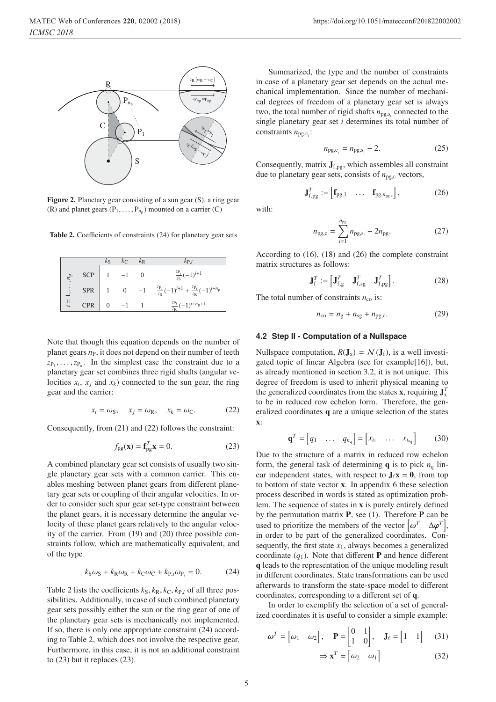

Figure 2. Planetary gear consisting of a sun gear (S), a ring gear (R) and planet gears  $(P_1, \ldots, P_{n_p})$  mounted on a carrier (C)

Table 2. Coefficients of constraints (24) for planetary gear sets

|                                 |            | $k_{\rm S}$ | $k_{\rm C}$ | $k_{\rm R}$ | $k_{\text{P}.i}$                                                  |
|---------------------------------|------------|-------------|-------------|-------------|-------------------------------------------------------------------|
|                                 | SCP        |             | $1\quad -1$ |             | $\frac{z_{P_i}}{z_{S}}(-1)^{i+1}$                                 |
| $1,\ldots$                      | $SPR$ 1    |             |             | $0 \t -1$   | $\frac{z_{P_i}}{z_S}(-1)^{i+1} + \frac{z_{P_i}}{z_R}(-1)^{i+n_p}$ |
| $\vert$<br>$\ddot{\phantom{0}}$ | <b>CPR</b> |             |             |             | $\frac{z_{P_i}}{z_R}(-1)^{i+n_p+1}$                               |

Note that though this equation depends on the number of planet gears  $n<sub>P</sub>$ , it does not depend on their number of teeth  $z_{P_1}, \ldots, z_{P_n}$ . In the simplest case the constraint due to a planetary gear set combines three rigid shafts (angular velocities  $x_i$ ,  $x_j$  and  $x_k$ ) connected to the sun gear, the ring gear and the carrier:

$$
x_i = \omega_S, \quad x_j = \omega_R, \quad x_k = \omega_C. \tag{22}
$$

Consequently, from (21) and (22) follows the constraint:

$$
f_{\rm pg}(\mathbf{x}) = \mathbf{f}_{\rm pg}^T \mathbf{x} = 0.
$$
 (23)

A combined planetary gear set consists of usually two single planetary gear sets with a common carrier. This enables meshing between planet gears from different planetary gear sets or coupling of their angular velocities. In order to consider such spur gear set-type constraint between the planet gears, it is necessary determine the angular velocity of these planet gears relatively to the angular velocity of the carrier. From (19) and (20) three possible constraints follow, which are mathematically equivalent, and of the type

$$
k_{\rm S}\omega_{\rm S} + k_{\rm R}\omega_{\rm R} + k_{\rm C}\omega_{\rm C} + k_{\rm P,i}\omega_{\rm P_i} = 0. \tag{24}
$$

Table 2 lists the coefficients  $k_S, k_R, k_C, k_{P,i}$  of all three possibilities. Additionally, in case of such combined planetary gear sets possibly either the sun or the ring gear of one of the planetary gear sets is mechanically not implemented. If so, there is only one appropriate constraint (24) according to Table 2, which does not involve the respective gear. Furthermore, in this case, it is not an additional constraint to (23) but it replaces (23).

Summarized, the type and the number of constraints in case of a planetary gear set depends on the actual mechanical implementation. Since the number of mechanical degrees of freedom of a planetary gear set is always two, the total number of rigid shafts  $n_{\text{pg},s_i}$  connected to the single planetary gear set *i* determines its total number of constraints *<sup>n</sup>*pg,c*<sup>i</sup>* :

$$
n_{\text{pg},c_i} = n_{\text{pg},s_i} - 2. \tag{25}
$$

Consequently, matrix  $J_{f,pg}$ , which assembles all constraint due to planetary gear sets, consists of  $n_{\text{pg,c}}$  vectors,

$$
\mathbf{J}_{f,pg}^T := \begin{bmatrix} \mathbf{f}_{pg,1} & \dots & \mathbf{f}_{pg,n_{pg,c}} \end{bmatrix},\tag{26}
$$

with:

$$
n_{\rm pg,c} = \sum_{i=1}^{n_{\rm pg}} n_{\rm pg,s_i} - 2n_{\rm pg}.\tag{27}
$$

According to (16), (18) and (26) the complete constraint matrix structures as follows:

$$
\mathbf{J}_{\mathbf{f}}^T := \begin{bmatrix} \mathbf{J}_{\mathbf{f},\mathbf{g}}^T & \mathbf{J}_{\mathbf{f},\mathbf{sg}}^T & \mathbf{J}_{\mathbf{f},\mathbf{pg}}^T \end{bmatrix} . \tag{28}
$$

The total number of constraints  $n_{\rm co}$  is:

$$
n_{\rm co} = n_{\rm g} + n_{\rm sg} + n_{\rm pg,c}.\tag{29}
$$

#### **4.2 Step II - Computation of a Nullspace**

Nullspace computation,  $R(J_x) = N(J_f)$ , is a well investigated topic of linear Algebra (see for example[16]), but, as already mentioned in section 3.2, it is not unique. This degree of freedom is used to inherit physical meaning to the generalized coordinates from the states **x**, requiring  $J_x^T$ <br>to be in reduced row exhelon form. Therefore, the general to be in reduced row echelon form. Therefore, the generalized coordinates q are a unique selection of the states x:

$$
\mathbf{q}^T = \begin{bmatrix} q_1 & \dots & q_{n_q} \end{bmatrix} = \begin{bmatrix} x_{i_1} & \dots & x_{i_{n_q}} \end{bmatrix} \tag{30}
$$

Due to the structure of a matrix in reduced row echelon form, the general task of determining  $q$  is to pick  $n_q$  linear independent states, with respect to  $J_f x = 0$ , from top to bottom of state vector x. In appendix 6 these selection process described in words is stated as optimization problem. The sequence of states in x is purely entirely defined by the permutation matrix  $P$ , see (1). Therefore  $P$  can be used to prioritize the members of the vector  $\left[\omega^T \quad \Delta \varphi^T\right]$ , in order to be part of the generalized coordinates. Consequently, the first state  $x_1$ , always becomes a generalized coordinate  $(q_1)$ . Note that different **P** and hence different q leads to the representation of the unique modeling result in different coordinates. State transformations can be used afterwards to transform the state-space model to different coordinates, corresponding to a different set of q.

In order to exemplify the selection of a set of generalized coordinates it is useful to consider a simple example:

$$
\omega^T = \begin{bmatrix} \omega_1 & \omega_2 \end{bmatrix}, \quad \mathbf{P} = \begin{bmatrix} 0 & 1 \\ 1 & 0 \end{bmatrix}, \quad \mathbf{J}_f = \begin{bmatrix} 1 & 1 \end{bmatrix} \tag{31}
$$

$$
\Rightarrow \mathbf{x}^T = \begin{bmatrix} \omega_2 & \omega_1 \end{bmatrix} \tag{32}
$$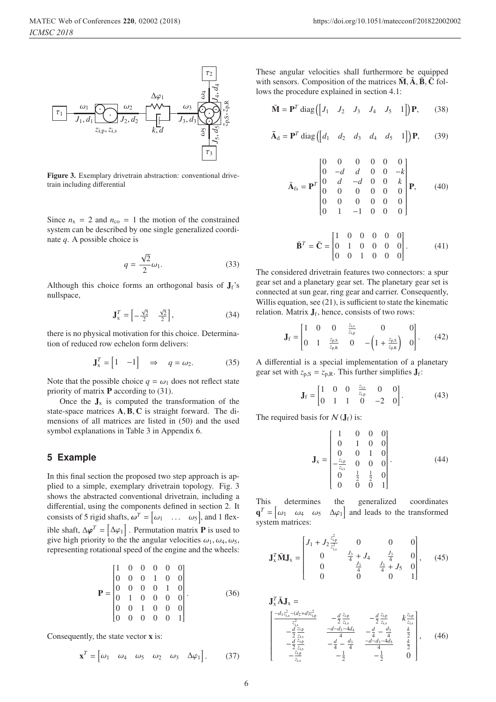

Figure 3. Exemplary drivetrain abstraction: conventional drivetrain including differential

Since  $n_x = 2$  and  $n_{co} = 1$  the motion of the constrained system can be described by one single generalized coordinate *q*. A possible choice is

$$
q = \frac{\sqrt{2}}{2}\omega_1.
$$
 (33)

Although this choice forms an orthogonal basis of  $J_f$ 's nullspace,

$$
\mathbf{J}_x^T = \begin{bmatrix} -\frac{\sqrt{2}}{2} & \frac{\sqrt{2}}{2} \end{bmatrix},\tag{34}
$$

there is no physical motivation for this choice. Determination of reduced row echelon form delivers:

$$
\mathbf{J}_{x}^{T} = \begin{bmatrix} 1 & -1 \end{bmatrix} \Rightarrow q = \omega_{2}.
$$
 (35)

Note that the possible choice  $q = \omega_1$  does not reflect state priority of matrix  $P$  according to (31).

Once the  $J_x$  is computed the transformation of the state-space matrices A,B, C is straight forward. The dimensions of all matrices are listed in (50) and the used symbol explanations in Table 3 in Appendix 6.

## **5 Example**

In this final section the proposed two step approach is applied to a simple, exemplary drivetrain topology. Fig. 3 shows the abstracted conventional drivetrain, including a differential, using the components defined in section 2. It consists of 5 rigid shafts,  $\omega^T = [\omega_1 \dots \omega_5]$ , and 1 flexible shaft,  $\Delta \varphi^T = [\Delta \varphi_1]$ . Permutation matrix **P** is used to give high priority to the the angular velocities  $\omega_1$ ,  $\omega_2$  (i) give high priority to the the angular velocities  $\omega_1, \omega_4, \omega_5$ , representing rotational speed of the engine and the wheels:

$$
\mathbf{P} = \begin{bmatrix} 1 & 0 & 0 & 0 & 0 & 0 \\ 0 & 0 & 0 & 1 & 0 & 0 \\ 0 & 0 & 0 & 0 & 1 & 0 \\ 0 & 1 & 0 & 0 & 0 & 0 \\ 0 & 0 & 1 & 0 & 0 & 0 \\ 0 & 0 & 0 & 0 & 0 & 1 \end{bmatrix} . \tag{36}
$$

Consequently, the state vector x is:

$$
\mathbf{x}^T = \begin{bmatrix} \omega_1 & \omega_4 & \omega_5 & \omega_2 & \omega_3 & \Delta \varphi_1 \end{bmatrix} . \tag{37}
$$

These angular velocities shall furthermore be equipped with sensors. Composition of the matrices  $\bar{M}$ ,  $\bar{A}$ ,  $\bar{B}$ ,  $\bar{C}$  follows the procedure explained in section 4.1:

$$
\bar{\mathbf{M}} = \mathbf{P}^T \operatorname{diag} \left( \begin{bmatrix} J_1 & J_2 & J_3 & J_4 & J_5 & 1 \end{bmatrix} \right) \mathbf{P}, \qquad (38)
$$

$$
\mathbf{\bar{A}}_{\rm d} = \mathbf{P}^T \operatorname{diag} \left( \begin{bmatrix} d_1 & d_2 & d_3 & d_4 & d_5 & 1 \end{bmatrix} \right) \mathbf{P},\qquad(39)
$$

$$
\bar{\mathbf{A}}_{\text{fs}} = \mathbf{P}^T \begin{bmatrix} 0 & 0 & 0 & 0 & 0 & 0 \\ 0 & -d & d & 0 & 0 & -k \\ 0 & d & -d & 0 & 0 & k \\ 0 & 0 & 0 & 0 & 0 & 0 \\ 0 & 0 & 0 & 0 & 0 & 0 \\ 0 & 1 & -1 & 0 & 0 & 0 \end{bmatrix} \mathbf{P}, \qquad (40)
$$

$$
\bar{\mathbf{B}}^T = \bar{\mathbf{C}} = \begin{bmatrix} 1 & 0 & 0 & 0 & 0 & 0 \\ 0 & 1 & 0 & 0 & 0 & 0 \\ 0 & 0 & 1 & 0 & 0 & 0 \end{bmatrix} . \tag{41}
$$

The considered drivetrain features two connectors: a spur gear set and a planetary gear set. The planetary gear set is connected at sun gear, ring gear and carrier. Consequently, Willis equation, see (21), is sufficient to state the kinematic relation. Matrix  $J_f$ , hence, consists of two rows:

$$
\mathbf{J}_{\rm f} = \begin{bmatrix} 1 & 0 & 0 & \frac{z_{\rm i,s}}{z_{\rm i,p}} & 0 & 0 \\ 0 & 1 & \frac{z_{\rm p.S}}{z_{\rm p.R}} & 0 & -\left(1 + \frac{z_{\rm p.S}}{z_{\rm p.R}}\right) & 0 \end{bmatrix}.
$$
 (42)

A differential is a special implementation of a planetary gear set with  $z_{p,S} = z_{p,R}$ . This further simplifies  $J_f$ :

$$
\mathbf{J}_{\rm f} = \begin{bmatrix} 1 & 0 & 0 & \frac{z_{\rm is}}{z_{\rm ip}} & 0 & 0 \\ 0 & 1 & 1 & 0 & -2 & 0 \end{bmatrix}.
$$
 (43)

The required basis for  $N(\mathbf{J}_f)$  is:

$$
\mathbf{J}_{x} = \begin{bmatrix} 1 & 0 & 0 & 0 \\ 0 & 1 & 0 & 0 \\ 0 & 0 & 1 & 0 \\ -\frac{z_{10}}{z_{1s}} & 0 & 0 & 0 \\ 0 & \frac{1}{2} & \frac{1}{2} & 0 \\ 0 & 0 & 0 & 1 \end{bmatrix}.
$$
 (44)

This determines the generalized coordinates  $\mathbf{q}^T = \begin{bmatrix} \omega_1 & \omega_4 & \omega_5 & \Delta \varphi_1 \end{bmatrix}$ <br>system matrices: and leads to the transformed system matrices:

$$
\mathbf{J}_{x}^{T} \tilde{\mathbf{M}} \mathbf{J}_{x} = \begin{bmatrix} J_{1} + J_{2} \frac{z_{1,p}^{2}}{z_{1,s}^{2}} & 0 & 0 & 0 \\ 0 & \frac{J_{3}}{4} + J_{4} & \frac{J_{3}}{4} & 0 \\ 0 & \frac{J_{3}}{4} & \frac{J_{3}}{4} + J_{5} & 0 \\ 0 & 0 & 0 & 1 \end{bmatrix}, \quad (45)
$$

$$
\mathbf{J}_{x}^{T} \tilde{\mathbf{A}} \mathbf{J}_{x} = \begin{bmatrix} -d_{1}z_{i,s}^{2} - (d_{2} + d)z_{i,p}^{2} & -\frac{d}{2}\frac{z_{i,p}}{z_{i,s}} & -\frac{d}{2}\frac{z_{i,p}}{z_{i,s}} & k\frac{z_{i,p}}{z_{i,s}} \\ -\frac{d}{2}\frac{z_{i,p}}{z_{i,s}} & -\frac{d-d_{3} - 4d_{4}}{4} & -\frac{d}{4} - \frac{d_{3}}{4} & \frac{k}{2} \\ -\frac{d}{2}\frac{z_{i,p}}{z_{i,s}} & -\frac{d}{4} - \frac{d_{3}}{4} & \frac{-d-d_{3} - 4d_{3}}{4} & \frac{k}{2} \\ -\frac{z_{i,p}}{z_{i,s}} & -\frac{1}{2} & -\frac{1}{2} & 0 \end{bmatrix}, \quad (46)
$$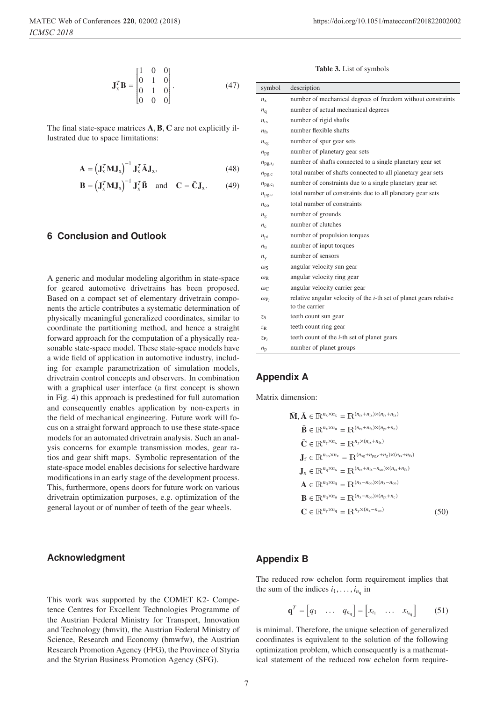$$
\mathbf{J}_{x}^{T} \mathbf{B} = \begin{bmatrix} 1 & 0 & 0 \\ 0 & 1 & 0 \\ 0 & 1 & 0 \\ 0 & 0 & 0 \end{bmatrix} . \tag{47}
$$

The final state-space matrices **A**, **B**, **C** are not explicitly illustrated due to space limitations:

$$
\mathbf{A} = \left(\mathbf{J}_x^T \mathbf{M} \mathbf{J}_x\right)^{-1} \mathbf{J}_x^T \bar{\mathbf{A}} \mathbf{J}_x, \tag{48}
$$

$$
\mathbf{B} = \left(\mathbf{J}_{\mathbf{x}}^T \mathbf{M} \mathbf{J}_{\mathbf{x}}\right)^{-1} \mathbf{J}_{\mathbf{x}}^T \mathbf{\bar{B}} \quad \text{and} \quad \mathbf{C} = \bar{\mathbf{C}} \mathbf{J}_{\mathbf{x}}.
$$
 (49)

# **6 Conclusion and Outlook**

A generic and modular modeling algorithm in state-space for geared automotive drivetrains has been proposed. Based on a compact set of elementary drivetrain components the article contributes a systematic determination of physically meaningful generalized coordinates, similar to coordinate the partitioning method, and hence a straight forward approach for the computation of a physically reasonable state-space model. These state-space models have a wide field of application in automotive industry, including for example parametrization of simulation models, drivetrain control concepts and observers. In combination with a graphical user interface (a first concept is shown in Fig. 4) this approach is predestined for full automation and consequently enables application by non-experts in the field of mechanical engineering. Future work will focus on a straight forward approach to use these state-space models for an automated drivetrain analysis. Such an analysis concerns for example transmission modes, gear ratios and gear shift maps. Symbolic representation of the state-space model enables decisions for selective hardware modifications in an early stage of the development process. This, furthermore, opens doors for future work on various drivetrain optimization purposes, e.g. optimization of the general layout or of number of teeth of the gear wheels.

## **Acknowledgment**

This work was supported by the COMET K2- Competence Centres for Excellent Technologies Programme of the Austrian Federal Ministry for Transport, Innovation and Technology (bmvit), the Austrian Federal Ministry of Science, Research and Economy (bmwfw), the Austrian Research Promotion Agency (FFG), the Province of Styria and the Styrian Business Promotion Agency (SFG).

Table 3. List of symbols

| symbol                     | description                                                                |
|----------------------------|----------------------------------------------------------------------------|
| $n_{\rm x}$                | number of mechanical degrees of freedom without constraints                |
| $n_{\rm q}$                | number of actual mechanical degrees                                        |
| $n_{\rm rs}$               | number of rigid shafts                                                     |
| $n_{fs}$                   | number flexible shafts                                                     |
| $n_{sg}$                   | number of spur gear sets                                                   |
| $n_{\rm pg}$               | number of planetary gear sets                                              |
| $n_{\text{pg},\text{s}_i}$ | number of shafts connected to a single planetary gear set                  |
| $n_{\text{pg,c}}$          | total number of shafts connected to all planetary gear sets                |
| $n_{\text{pg},\text{c}_i}$ | number of constraints due to a single planetary gear set                   |
| $n_{\text{pg,c}}$          | total number of constraints due to all planetary gear sets                 |
| $n_{\rm co}$               | total number of constraints                                                |
| $n_{\rm g}$                | number of grounds                                                          |
| $n_{\rm c}$                | number of clutches                                                         |
| $n_{\text{pt}}$            | number of propulsion torques                                               |
| $n_{\rm u}$                | number of input torques                                                    |
| $n_{\rm v}$                | number of sensors                                                          |
| $\omega_{\rm S}$           | angular velocity sun gear                                                  |
| $\omega_{\rm R}$           | angular velocity ring gear                                                 |
| $\omega_C$                 | angular velocity carrier gear                                              |
| $\omega_{P_i}$             | relative angular velocity of the <i>i</i> -th set of planet gears relative |
|                            | to the carrier                                                             |
| ZS                         | teeth count sun gear                                                       |
| $Z_{\rm R}$                | teeth count ring gear                                                      |
| $ZP_i$                     | teeth count of the <i>i</i> -th set of planet gears                        |
| $n_{\rm p}$                | number of planet groups                                                    |

## **Appendix A**

Matrix dimension:

$$
\vec{M}, \vec{A} \in \mathbb{R}^{n_x \times n_x} = \mathbb{R}^{(n_{rs} + n_{fs}) \times (n_{rs} + n_{fs})}
$$
\n
$$
\vec{B} \in \mathbb{R}^{n_x \times n_u} = \mathbb{R}^{(n_{rs} + n_{fs}) \times (n_{pt} + n_c)}
$$
\n
$$
\vec{C} \in \mathbb{R}^{n_y \times n_x} = \mathbb{R}^{n_y \times (n_{rs} + n_{fs})}
$$
\n
$$
J_f \in \mathbb{R}^{n_{co} \times n_x} = \mathbb{R}^{(n_{sg} + n_{pgc} + n_g) \times (n_{rs} + n_{fs})}
$$
\n
$$
\vec{A} \in \mathbb{R}^{n_q \times n_q} = \mathbb{R}^{(n_{rs} + n_{fs} - n_{co}) \times (n_{rs} + n_{fs})}
$$
\n
$$
\vec{B} \in \mathbb{R}^{n_q \times n_u} = \mathbb{R}^{(n_x - n_{co}) \times (n_{pt} + n_c)}
$$
\n
$$
\vec{C} \in \mathbb{R}^{n_y \times n_q} = \mathbb{R}^{n_y \times (n_x - n_{co})}
$$
\n(50)

## **Appendix B**

The reduced row echelon form requirement implies that the sum of the indices  $i_1, \ldots, i_{n_0}$  in

$$
\mathbf{q}^T = \begin{bmatrix} q_1 & \dots & q_{n_q} \end{bmatrix} = \begin{bmatrix} x_{i_1} & \dots & x_{i_{n_q}} \end{bmatrix} \tag{51}
$$

is minimal. Therefore, the unique selection of generalized coordinates is equivalent to the solution of the following optimization problem, which consequently is a mathematical statement of the reduced row echelon form require-